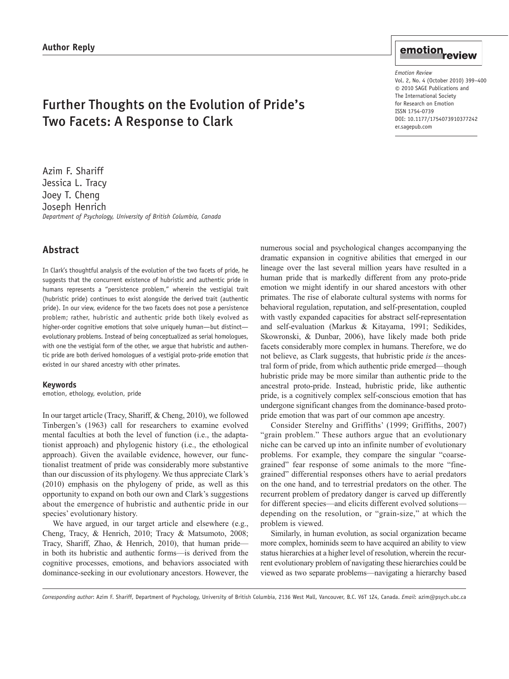# Further Thoughts on the Evolution of Pride's Two Facets: A Response to Clark

Azim F. Shariff Jessica L. Tracy Joey T. Cheng Joseph Henrich *Department of Psychology, University of British Columbia, Canada*

# **Abstract**

In Clark's thoughtful analysis of the evolution of the two facets of pride, he suggests that the concurrent existence of hubristic and authentic pride in humans represents a "persistence problem," wherein the vestigial trait (hubristic pride) continues to exist alongside the derived trait (authentic pride). In our view, evidence for the two facets does not pose a persistence problem; rather, hubristic and authentic pride both likely evolved as higher-order cognitive emotions that solve uniquely human—but distinct evolutionary problems. Instead of being conceptualized as serial homologues, with one the vestigial form of the other, we argue that hubristic and authentic pride are both derived homologues of a vestigial proto-pride emotion that existed in our shared ancestry with other primates.

## **Keywords**

emotion, ethology, evolution, pride

In our target article (Tracy, Shariff, & Cheng, 2010), we followed Tinbergen's (1963) call for researchers to examine evolved mental faculties at both the level of function (i.e., the adaptationist approach) and phylogenic history (i.e., the ethological approach). Given the available evidence, however, our functionalist treatment of pride was considerably more substantive than our discussion of its phylogeny. We thus appreciate Clark's (2010) emphasis on the phylogeny of pride, as well as this opportunity to expand on both our own and Clark's suggestions about the emergence of hubristic and authentic pride in our species' evolutionary history.

We have argued, in our target article and elsewhere (e.g., Cheng, Tracy, & Henrich, 2010; Tracy & Matsumoto, 2008; Tracy, Shariff, Zhao, & Henrich, 2010), that human pride in both its hubristic and authentic forms—is derived from the cognitive processes, emotions, and behaviors associated with dominance-seeking in our evolutionary ancestors. However, the emotion<sub>review</sub>

*Emotion Review* Vol. 2, No. 4 (October 2010) 399–400 © 2010 SAGE Publications and The International Society for Research on Emotion ISSN 1754-0739 DOI: 10.1177/1754073910377242 er.sagepub.com

numerous social and psychological changes accompanying the dramatic expansion in cognitive abilities that emerged in our lineage over the last several million years have resulted in a human pride that is markedly different from any proto-pride emotion we might identify in our shared ancestors with other primates. The rise of elaborate cultural systems with norms for behavioral regulation, reputation, and self-presentation, coupled with vastly expanded capacities for abstract self-representation and self-evaluation (Markus & Kitayama, 1991; Sedikides, Skowronski, & Dunbar, 2006), have likely made both pride facets considerably more complex in humans. Therefore, we do not believe, as Clark suggests, that hubristic pride *is* the ancestral form of pride, from which authentic pride emerged—though hubristic pride may be more similar than authentic pride to the ancestral proto-pride. Instead, hubristic pride, like authentic pride, is a cognitively complex self-conscious emotion that has undergone significant changes from the dominance-based protopride emotion that was part of our common ape ancestry.

Consider Sterelny and Griffiths' (1999; Griffiths, 2007) "grain problem." These authors argue that an evolutionary niche can be carved up into an infinite number of evolutionary problems. For example, they compare the singular "coarsegrained" fear response of some animals to the more "finegrained" differential responses others have to aerial predators on the one hand, and to terrestrial predators on the other. The recurrent problem of predatory danger is carved up differently for different species—and elicits different evolved solutions depending on the resolution, or "grain-size," at which the problem is viewed.

Similarly, in human evolution, as social organization became more complex, hominids seem to have acquired an ability to view status hierarchies at a higher level of resolution, wherein the recurrent evolutionary problem of navigating these hierarchies could be viewed as two separate problems—navigating a hierarchy based

*Corresponding author*: Azim F. Shariff, Department of Psychology, University of British Columbia, 2136 West Mall, Vancouver, B.C. V6T 1Z4, Canada. *Email*: azim@psych.ubc.ca